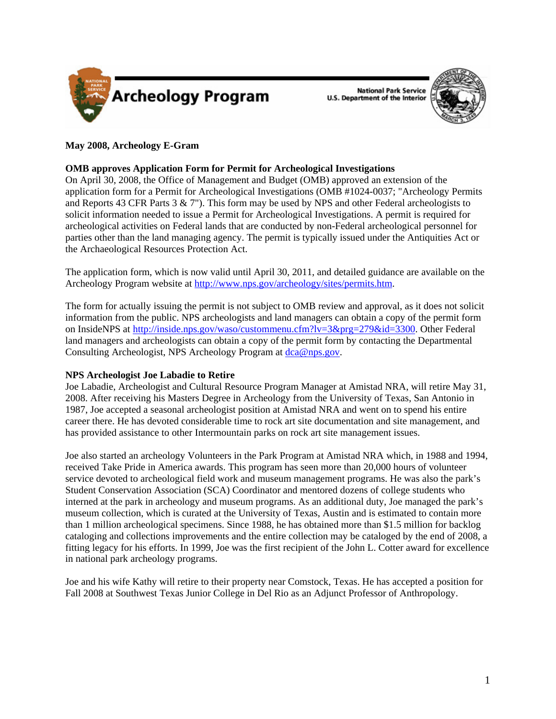

**National Park Service U.S. Department of the Interior** 



# **May 2008, Archeology E-Gram**

## **OMB approves Application Form for Permit for Archeological Investigations**

On April 30, 2008, the Office of Management and Budget (OMB) approved an extension of the application form for a Permit for Archeological Investigations (OMB #1024-0037; "Archeology Permits and Reports 43 CFR Parts  $3 \& 7$ "). This form may be used by NPS and other Federal archeologists to solicit information needed to issue a Permit for Archeological Investigations. A permit is required for archeological activities on Federal lands that are conducted by non-Federal archeological personnel for parties other than the land managing agency. The permit is typically issued under the Antiquities Act or the Archaeological Resources Protection Act.

The application form, which is now valid until April 30, 2011, and detailed guidance are available on the Archeology Program website at<http://www.nps.gov/archeology/sites/permits.htm>.

The form for actually issuing the permit is not subject to OMB review and approval, as it does not solicit information from the public. NPS archeologists and land managers can obtain a copy of the permit form on InsideNPS at <http://inside.nps.gov/waso/custommenu.cfm?lv=3&prg=279&id=3300>. Other Federal land managers and archeologists can obtain a copy of the permit form by contacting the Departmental Consulting Archeologist, NPS Archeology Program at  $de{\alpha\omega_{\text{RDS},\text{QOV}}}$ .

## **NPS Archeologist Joe Labadie to Retire**

Joe Labadie, Archeologist and Cultural Resource Program Manager at Amistad NRA, will retire May 31, 2008. After receiving his Masters Degree in Archeology from the University of Texas, San Antonio in 1987, Joe accepted a seasonal archeologist position at Amistad NRA and went on to spend his entire career there. He has devoted considerable time to rock art site documentation and site management, and has provided assistance to other Intermountain parks on rock art site management issues.

Joe also started an archeology Volunteers in the Park Program at Amistad NRA which, in 1988 and 1994, received Take Pride in America awards. This program has seen more than 20,000 hours of volunteer service devoted to archeological field work and museum management programs. He was also the park's Student Conservation Association (SCA) Coordinator and mentored dozens of college students who interned at the park in archeology and museum programs. As an additional duty, Joe managed the park's museum collection, which is curated at the University of Texas, Austin and is estimated to contain more than 1 million archeological specimens. Since 1988, he has obtained more than \$1.5 million for backlog cataloging and collections improvements and the entire collection may be cataloged by the end of 2008, a fitting legacy for his efforts. In 1999, Joe was the first recipient of the John L. Cotter award for excellence in national park archeology programs.

Joe and his wife Kathy will retire to their property near Comstock, Texas. He has accepted a position for Fall 2008 at Southwest Texas Junior College in Del Rio as an Adjunct Professor of Anthropology.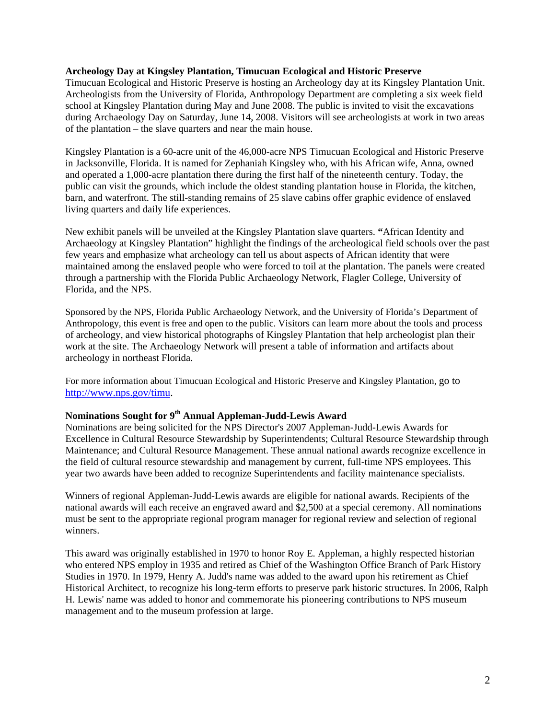## **Archeology Day at Kingsley Plantation, Timucuan Ecological and Historic Preserve**

Timucuan Ecological and Historic Preserve is hosting an Archeology day at its Kingsley Plantation Unit. Archeologists from the University of Florida, Anthropology Department are completing a six week field school at Kingsley Plantation during May and June 2008. The public is invited to visit the excavations during Archaeology Day on Saturday, June 14, 2008. Visitors will see archeologists at work in two areas of the plantation – the slave quarters and near the main house.

Kingsley Plantation is a 60-acre unit of the 46,000-acre NPS Timucuan Ecological and Historic Preserve in Jacksonville, Florida. It is named for Zephaniah Kingsley who, with his African wife, Anna, owned and operated a 1,000-acre plantation there during the first half of the nineteenth century. Today, the public can visit the grounds, which include the oldest standing plantation house in Florida, the kitchen, barn, and waterfront. The still-standing remains of 25 slave cabins offer graphic evidence of enslaved living quarters and daily life experiences.

New exhibit panels will be unveiled at the Kingsley Plantation slave quarters. **"**African Identity and Archaeology at Kingsley Plantation" highlight the findings of the archeological field schools over the past few years and emphasize what archeology can tell us about aspects of African identity that were maintained among the enslaved people who were forced to toil at the plantation. The panels were created through a partnership with the Florida Public Archaeology Network, Flagler College, University of Florida, and the NPS.

Sponsored by the NPS, Florida Public Archaeology Network, and the University of Florida's Department of Anthropology, this event is free and open to the public. Visitors can learn more about the tools and process of archeology, and view historical photographs of Kingsley Plantation that help archeologist plan their work at the site. The Archaeology Network will present a table of information and artifacts about archeology in northeast Florida.

For more information about Timucuan Ecological and Historic Preserve and Kingsley Plantation, go to [http://www.nps.gov/timu.](http://www.nps.gov/timu)

# **Nominations Sought for 9th Annual Appleman-Judd-Lewis Award**

Nominations are being solicited for the NPS Director's 2007 Appleman-Judd-Lewis Awards for Excellence in Cultural Resource Stewardship by Superintendents; Cultural Resource Stewardship through Maintenance; and Cultural Resource Management. These annual national awards recognize excellence in the field of cultural resource stewardship and management by current, full-time NPS employees. This year two awards have been added to recognize Superintendents and facility maintenance specialists.

Winners of regional Appleman-Judd-Lewis awards are eligible for national awards. Recipients of the national awards will each receive an engraved award and \$2,500 at a special ceremony. All nominations must be sent to the appropriate regional program manager for regional review and selection of regional winners.

This award was originally established in 1970 to honor Roy E. Appleman, a highly respected historian who entered NPS employ in 1935 and retired as Chief of the Washington Office Branch of Park History Studies in 1970. In 1979, Henry A. Judd's name was added to the award upon his retirement as Chief Historical Architect, to recognize his long-term efforts to preserve park historic structures. In 2006, Ralph H. Lewis' name was added to honor and commemorate his pioneering contributions to NPS museum management and to the museum profession at large.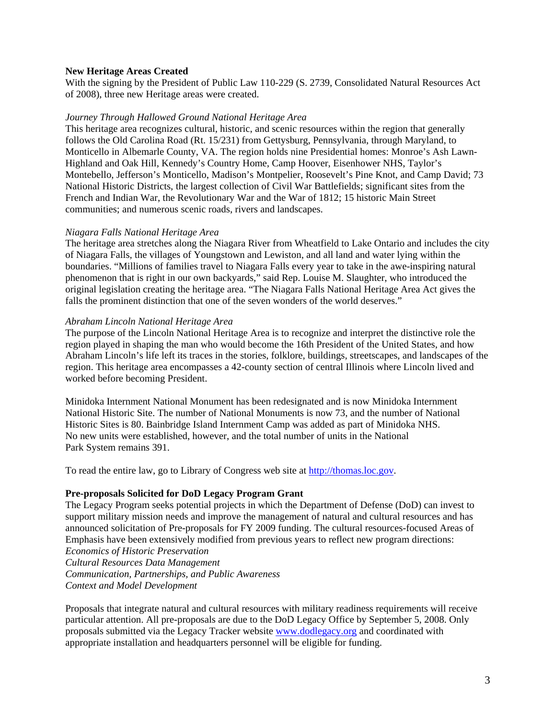## **New Heritage Areas Created**

With the signing by the President of Public Law 110-229 (S. 2739, Consolidated Natural Resources Act of 2008), three new Heritage areas were created.

#### *Journey Through Hallowed Ground National Heritage Area*

This heritage area recognizes cultural, historic, and scenic resources within the region that generally follows the Old Carolina Road (Rt. 15/231) from Gettysburg, Pennsylvania, through Maryland, to Monticello in Albemarle County, VA. The region holds nine Presidential homes: Monroe's Ash Lawn-Highland and Oak Hill, Kennedy's Country Home, Camp Hoover, Eisenhower NHS, Taylor's Montebello, Jefferson's Monticello, Madison's Montpelier, Roosevelt's Pine Knot, and Camp David; 73 National Historic Districts, the largest collection of Civil War Battlefields; significant sites from the French and Indian War, the Revolutionary War and the War of 1812; 15 historic Main Street communities; and numerous scenic roads, rivers and landscapes.

#### *Niagara Falls National Heritage Area*

The heritage area stretches along the Niagara River from Wheatfield to Lake Ontario and includes the city of Niagara Falls, the villages of Youngstown and Lewiston, and all land and water lying within the boundaries. "Millions of families travel to Niagara Falls every year to take in the awe-inspiring natural phenomenon that is right in our own backyards," said Rep. Louise M. Slaughter, who introduced the original legislation creating the heritage area. "The Niagara Falls National Heritage Area Act gives the falls the prominent distinction that one of the seven wonders of the world deserves."

#### *Abraham Lincoln National Heritage Area*

The purpose of the Lincoln National Heritage Area is to recognize and interpret the distinctive role the region played in shaping the man who would become the 16th President of the United States, and how Abraham Lincoln's life left its traces in the stories, folklore, buildings, streetscapes, and landscapes of the region. This heritage area encompasses a 42-county section of central Illinois where Lincoln lived and worked before becoming President.

Minidoka Internment National Monument has been redesignated and is now Minidoka Internment National Historic Site. The number of National Monuments is now 73, and the number of National Historic Sites is 80. Bainbridge Island Internment Camp was added as part of Minidoka NHS. No new units were established, however, and the total number of units in the National Park System remains 391.

To read the entire law, go to Library of Congress web site at [http://thomas.loc.gov.](http://thomas.loc.gov)

#### **Pre-proposals Solicited for DoD Legacy Program Grant**

The Legacy Program seeks potential projects in which the Department of Defense (DoD) can invest to support military mission needs and improve the management of natural and cultural resources and has announced solicitation of Pre-proposals for FY 2009 funding. The cultural resources-focused Areas of Emphasis have been extensively modified from previous years to reflect new program directions: *Economics of Historic Preservation Cultural Resources Data Management Communication, Partnerships, and Public Awareness Context and Model Development* 

Proposals that integrate natural and cultural resources with military readiness requirements will receive particular attention. All pre-proposals are due to the DoD Legacy Office by September 5, 2008. Only proposals submitted via the Legacy Tracker website <www.dodlegacy.org> and coordinated with appropriate installation and headquarters personnel will be eligible for funding.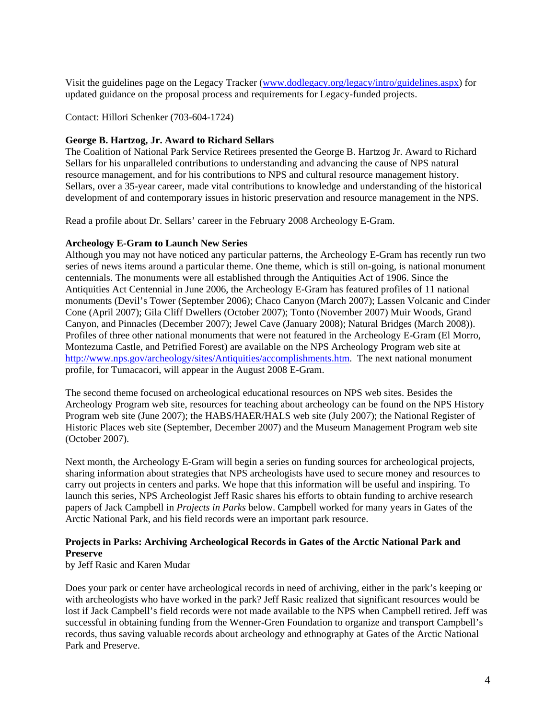Visit the guidelines page on the Legacy Tracker [\(www.dodlegacy.org/legacy/intro/guidelines.aspx](www.dodlegacy.org/legacy/intro/guidelines.aspx)) for updated guidance on the proposal process and requirements for Legacy-funded projects.

Contact: Hillori Schenker (703-604-1724)

## **George B. Hartzog, Jr. Award to Richard Sellars**

The Coalition of National Park Service Retirees presented the George B. Hartzog Jr. Award to Richard Sellars for his unparalleled contributions to understanding and advancing the cause of NPS natural resource management, and for his contributions to NPS and cultural resource management history. Sellars, over a 35-year career, made vital contributions to knowledge and understanding of the historical development of and contemporary issues in historic preservation and resource management in the NPS.

Read a profile about Dr. Sellars' career in the February 2008 Archeology E-Gram.

## **Archeology E-Gram to Launch New Series**

Although you may not have noticed any particular patterns, the Archeology E-Gram has recently run two series of news items around a particular theme. One theme, which is still on-going, is national monument centennials. The monuments were all established through the Antiquities Act of 1906. Since the Antiquities Act Centennial in June 2006, the Archeology E-Gram has featured profiles of 11 national monuments (Devil's Tower (September 2006); Chaco Canyon (March 2007); Lassen Volcanic and Cinder Cone (April 2007); Gila Cliff Dwellers (October 2007); Tonto (November 2007) Muir Woods, Grand Canyon, and Pinnacles (December 2007); Jewel Cave (January 2008); Natural Bridges (March 2008)). Profiles of three other national monuments that were not featured in the Archeology E-Gram (El Morro, Montezuma Castle, and Petrified Forest) are available on the NPS Archeology Program web site at <http://www.nps.gov/archeology/sites/Antiquities/accomplishments.htm>. The next national monument profile, for Tumacacori, will appear in the August 2008 E-Gram.

The second theme focused on archeological educational resources on NPS web sites. Besides the Archeology Program web site, resources for teaching about archeology can be found on the NPS History Program web site (June 2007); the HABS/HAER/HALS web site (July 2007); the National Register of Historic Places web site (September, December 2007) and the Museum Management Program web site (October 2007).

Next month, the Archeology E-Gram will begin a series on funding sources for archeological projects, sharing information about strategies that NPS archeologists have used to secure money and resources to carry out projects in centers and parks. We hope that this information will be useful and inspiring. To launch this series, NPS Archeologist Jeff Rasic shares his efforts to obtain funding to archive research papers of Jack Campbell in *Projects in Parks* below. Campbell worked for many years in Gates of the Arctic National Park, and his field records were an important park resource.

# **Projects in Parks: Archiving Archeological Records in Gates of the Arctic National Park and Preserve**

by Jeff Rasic and Karen Mudar

Does your park or center have archeological records in need of archiving, either in the park's keeping or with archeologists who have worked in the park? Jeff Rasic realized that significant resources would be lost if Jack Campbell's field records were not made available to the NPS when Campbell retired. Jeff was successful in obtaining funding from the Wenner-Gren Foundation to organize and transport Campbell's records, thus saving valuable records about archeology and ethnography at Gates of the Arctic National Park and Preserve.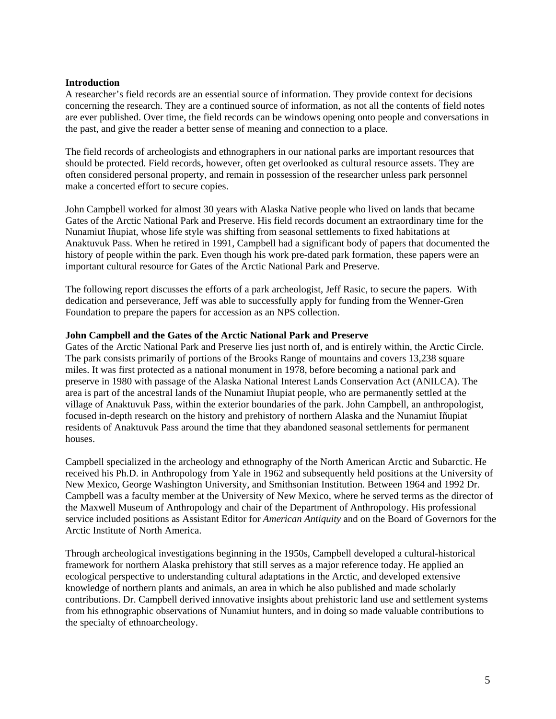## **Introduction**

A researcher's field records are an essential source of information. They provide context for decisions concerning the research. They are a continued source of information, as not all the contents of field notes are ever published. Over time, the field records can be windows opening onto people and conversations in the past, and give the reader a better sense of meaning and connection to a place.

The field records of archeologists and ethnographers in our national parks are important resources that should be protected. Field records, however, often get overlooked as cultural resource assets. They are often considered personal property, and remain in possession of the researcher unless park personnel make a concerted effort to secure copies.

John Campbell worked for almost 30 years with Alaska Native people who lived on lands that became Gates of the Arctic National Park and Preserve. His field records document an extraordinary time for the Nunamiut Iñupiat, whose life style was shifting from seasonal settlements to fixed habitations at Anaktuvuk Pass. When he retired in 1991, Campbell had a significant body of papers that documented the history of people within the park. Even though his work pre-dated park formation, these papers were an important cultural resource for Gates of the Arctic National Park and Preserve.

The following report discusses the efforts of a park archeologist, Jeff Rasic, to secure the papers. With dedication and perseverance, Jeff was able to successfully apply for funding from the Wenner-Gren Foundation to prepare the papers for accession as an NPS collection.

## **John Campbell and the Gates of the Arctic National Park and Preserve**

Gates of the Arctic National Park and Preserve lies just north of, and is entirely within, the Arctic Circle. The park consists primarily of portions of the Brooks Range of mountains and covers 13,238 square miles. It was first protected as a national monument in 1978, before becoming a national park and preserve in 1980 with passage of the Alaska National Interest Lands Conservation Act (ANILCA). The area is part of the ancestral lands of the Nunamiut Iñupiat people, who are permanently settled at the village of Anaktuvuk Pass, within the exterior boundaries of the park. John Campbell, an anthropologist, focused in-depth research on the history and prehistory of northern Alaska and the Nunamiut Iñupiat residents of Anaktuvuk Pass around the time that they abandoned seasonal settlements for permanent houses.

Campbell specialized in the archeology and ethnography of the North American Arctic and Subarctic. He received his Ph.D. in Anthropology from Yale in 1962 and subsequently held positions at the University of New Mexico, George Washington University, and Smithsonian Institution. Between 1964 and 1992 Dr. Campbell was a faculty member at the University of New Mexico, where he served terms as the director of the Maxwell Museum of Anthropology and chair of the Department of Anthropology. His professional service included positions as Assistant Editor for *American Antiquity* and on the Board of Governors for the Arctic Institute of North America.

Through archeological investigations beginning in the 1950s, Campbell developed a cultural-historical framework for northern Alaska prehistory that still serves as a major reference today. He applied an ecological perspective to understanding cultural adaptations in the Arctic, and developed extensive knowledge of northern plants and animals, an area in which he also published and made scholarly contributions. Dr. Campbell derived innovative insights about prehistoric land use and settlement systems from his ethnographic observations of Nunamiut hunters, and in doing so made valuable contributions to the specialty of ethnoarcheology.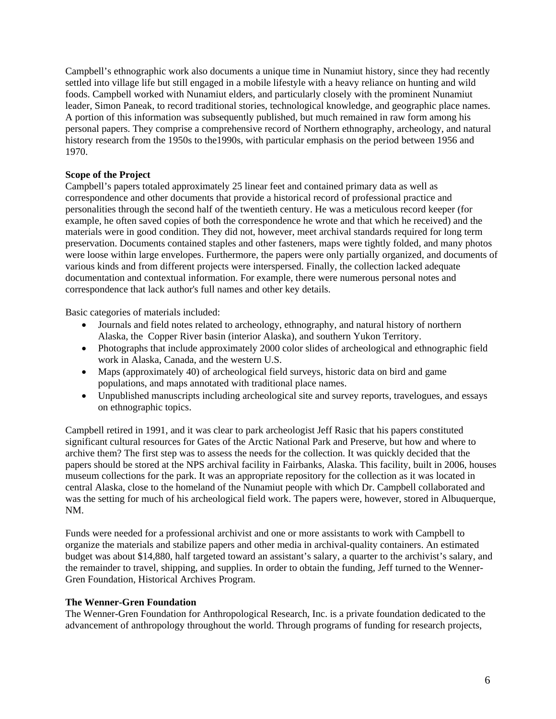Campbell's ethnographic work also documents a unique time in Nunamiut history, since they had recently settled into village life but still engaged in a mobile lifestyle with a heavy reliance on hunting and wild foods. Campbell worked with Nunamiut elders, and particularly closely with the prominent Nunamiut leader, Simon Paneak, to record traditional stories, technological knowledge, and geographic place names. A portion of this information was subsequently published, but much remained in raw form among his personal papers. They comprise a comprehensive record of Northern ethnography, archeology, and natural history research from the 1950s to the 1990s, with particular emphasis on the period between 1956 and 1970.

# **Scope of the Project**

Campbell's papers totaled approximately 25 linear feet and contained primary data as well as correspondence and other documents that provide a historical record of professional practice and personalities through the second half of the twentieth century. He was a meticulous record keeper (for example, he often saved copies of both the correspondence he wrote and that which he received) and the materials were in good condition. They did not, however, meet archival standards required for long term preservation. Documents contained staples and other fasteners, maps were tightly folded, and many photos were loose within large envelopes. Furthermore, the papers were only partially organized, and documents of various kinds and from different projects were interspersed. Finally, the collection lacked adequate documentation and contextual information. For example, there were numerous personal notes and correspondence that lack author's full names and other key details.

Basic categories of materials included:

- Journals and field notes related to archeology, ethnography, and natural history of northern Alaska, the Copper River basin (interior Alaska), and southern Yukon Territory.
- Photographs that include approximately 2000 color slides of archeological and ethnographic field work in Alaska, Canada, and the western U.S.
- Maps (approximately 40) of archeological field surveys, historic data on bird and game populations, and maps annotated with traditional place names.
- Unpublished manuscripts including archeological site and survey reports, travelogues, and essays on ethnographic topics.

Campbell retired in 1991, and it was clear to park archeologist Jeff Rasic that his papers constituted significant cultural resources for Gates of the Arctic National Park and Preserve, but how and where to archive them? The first step was to assess the needs for the collection. It was quickly decided that the papers should be stored at the NPS archival facility in Fairbanks, Alaska. This facility, built in 2006, houses museum collections for the park. It was an appropriate repository for the collection as it was located in central Alaska, close to the homeland of the Nunamiut people with which Dr. Campbell collaborated and was the setting for much of his archeological field work. The papers were, however, stored in Albuquerque, NM.

Funds were needed for a professional archivist and one or more assistants to work with Campbell to organize the materials and stabilize papers and other media in archival-quality containers. An estimated budget was about \$14,880, half targeted toward an assistant's salary, a quarter to the archivist's salary, and the remainder to travel, shipping, and supplies. In order to obtain the funding, Jeff turned to the Wenner-Gren Foundation, Historical Archives Program.

## **The Wenner-Gren Foundation**

The Wenner-Gren Foundation for Anthropological Research, Inc. is a private foundation dedicated to the advancement of anthropology throughout the world. Through programs of funding for research projects,